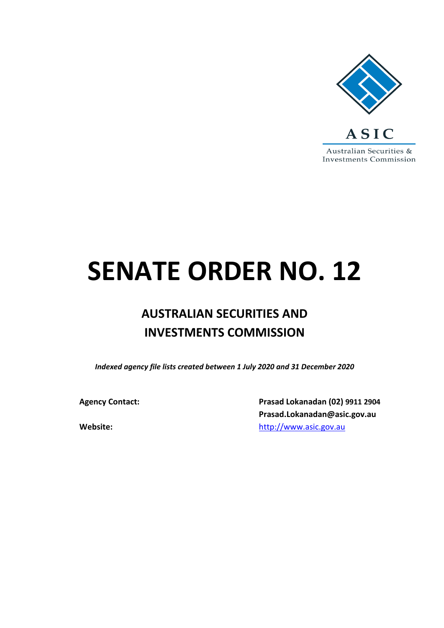

## **SENATE ORDER NO. 12**

## **AUSTRALIAN SECURITIES AND INVESTMENTS COMMISSION**

*Indexed agency file lists created between 1 July 2020 and 31 December 2020*

**Agency Contact: Prasad Lokanadan (02) 9911 2904 Prasad.Lokanadan@asic.gov.au Website:** [http://www.asic.gov.au](http://www.asic.gov.au/)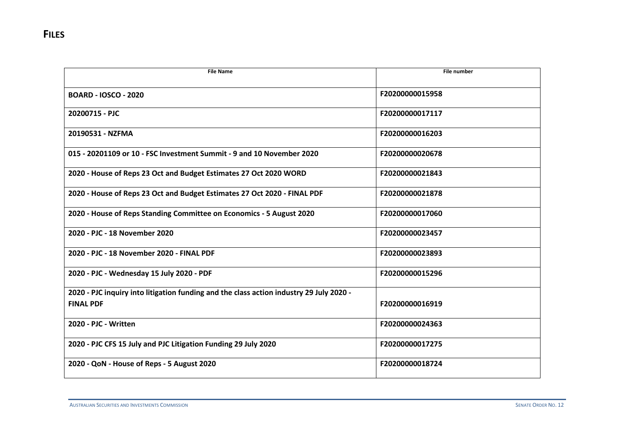| <b>File Name</b>                                                                        | <b>File number</b> |
|-----------------------------------------------------------------------------------------|--------------------|
|                                                                                         |                    |
| <b>BOARD - IOSCO - 2020</b>                                                             | F20200000015958    |
|                                                                                         |                    |
| 20200715 - PJC                                                                          | F20200000017117    |
| 20190531 - NZFMA                                                                        | F20200000016203    |
|                                                                                         |                    |
| 015 - 20201109 or 10 - FSC Investment Summit - 9 and 10 November 2020                   | F20200000020678    |
|                                                                                         |                    |
| 2020 - House of Reps 23 Oct and Budget Estimates 27 Oct 2020 WORD                       | F20200000021843    |
|                                                                                         |                    |
| 2020 - House of Reps 23 Oct and Budget Estimates 27 Oct 2020 - FINAL PDF                | F20200000021878    |
| 2020 - House of Reps Standing Committee on Economics - 5 August 2020                    | F20200000017060    |
|                                                                                         |                    |
| 2020 - PJC - 18 November 2020                                                           | F20200000023457    |
|                                                                                         |                    |
| 2020 - PJC - 18 November 2020 - FINAL PDF                                               | F20200000023893    |
|                                                                                         |                    |
| 2020 - PJC - Wednesday 15 July 2020 - PDF                                               | F20200000015296    |
| 2020 - PJC inquiry into litigation funding and the class action industry 29 July 2020 - |                    |
| <b>FINAL PDF</b>                                                                        | F20200000016919    |
|                                                                                         |                    |
| 2020 - PJC - Written                                                                    | F20200000024363    |
|                                                                                         |                    |
| 2020 - PJC CFS 15 July and PJC Litigation Funding 29 July 2020                          | F20200000017275    |
|                                                                                         |                    |
| 2020 - QoN - House of Reps - 5 August 2020                                              | F20200000018724    |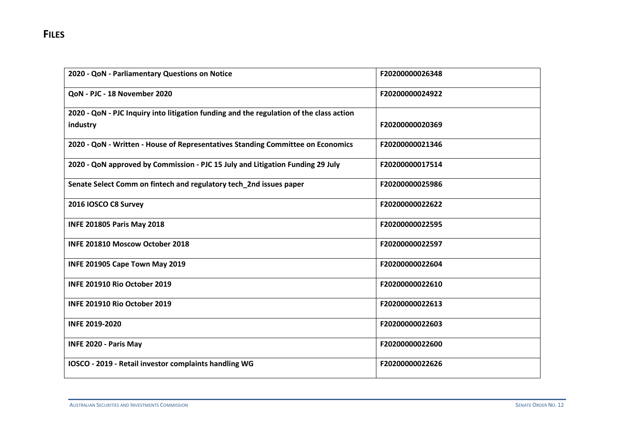| 2020 - QoN - Parliamentary Questions on Notice                                                      | F20200000026348 |
|-----------------------------------------------------------------------------------------------------|-----------------|
| QoN - PJC - 18 November 2020                                                                        | F20200000024922 |
| 2020 - QoN - PJC Inquiry into litigation funding and the regulation of the class action<br>industry | F20200000020369 |
| 2020 - QoN - Written - House of Representatives Standing Committee on Economics                     | F20200000021346 |
| 2020 - QoN approved by Commission - PJC 15 July and Litigation Funding 29 July                      | F20200000017514 |
| Senate Select Comm on fintech and regulatory tech_2nd issues paper                                  | F20200000025986 |
| 2016 IOSCO C8 Survey                                                                                | F20200000022622 |
| <b>INFE 201805 Paris May 2018</b>                                                                   | F20200000022595 |
| INFE 201810 Moscow October 2018                                                                     | F20200000022597 |
| INFE 201905 Cape Town May 2019                                                                      | F20200000022604 |
| INFE 201910 Rio October 2019                                                                        | F20200000022610 |
| INFE 201910 Rio October 2019                                                                        | F20200000022613 |
| <b>INFE 2019-2020</b>                                                                               | F20200000022603 |
| INFE 2020 - Paris May                                                                               | F20200000022600 |
| IOSCO - 2019 - Retail investor complaints handling WG                                               | F20200000022626 |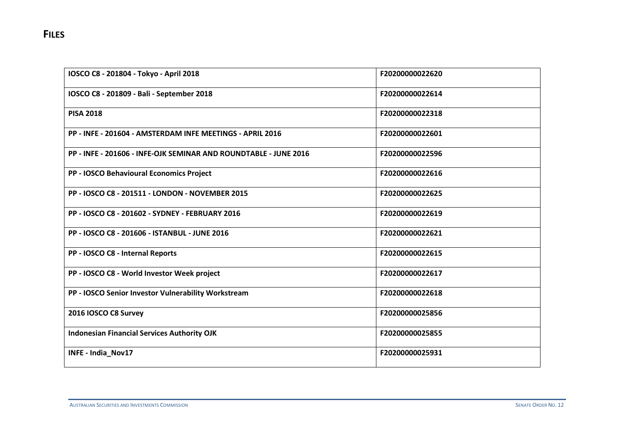| IOSCO C8 - 201804 - Tokyo - April 2018                           | F20200000022620 |
|------------------------------------------------------------------|-----------------|
| IOSCO C8 - 201809 - Bali - September 2018                        | F20200000022614 |
| <b>PISA 2018</b>                                                 | F20200000022318 |
| PP - INFE - 201604 - AMSTERDAM INFE MEETINGS - APRIL 2016        | F20200000022601 |
| PP - INFE - 201606 - INFE-OJK SEMINAR AND ROUNDTABLE - JUNE 2016 | F20200000022596 |
| PP - IOSCO Behavioural Economics Project                         | F20200000022616 |
| PP - IOSCO C8 - 201511 - LONDON - NOVEMBER 2015                  | F20200000022625 |
| PP - IOSCO C8 - 201602 - SYDNEY - FEBRUARY 2016                  | F20200000022619 |
| PP - IOSCO C8 - 201606 - ISTANBUL - JUNE 2016                    | F20200000022621 |
| PP - IOSCO C8 - Internal Reports                                 | F20200000022615 |
| PP - IOSCO C8 - World Investor Week project                      | F20200000022617 |
| PP - IOSCO Senior Investor Vulnerability Workstream              | F20200000022618 |
| 2016 IOSCO C8 Survey                                             | F20200000025856 |
| <b>Indonesian Financial Services Authority OJK</b>               | F20200000025855 |
| INFE - India_Nov17                                               | F20200000025931 |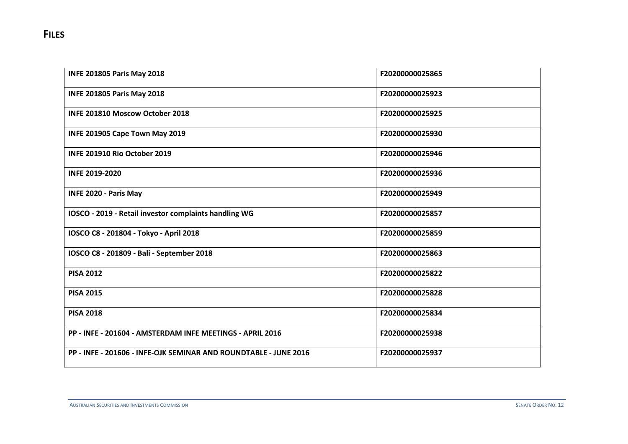| <b>INFE 201805 Paris May 2018</b>                                | F20200000025865 |
|------------------------------------------------------------------|-----------------|
| <b>INFE 201805 Paris May 2018</b>                                | F20200000025923 |
| <b>INFE 201810 Moscow October 2018</b>                           | F20200000025925 |
| INFE 201905 Cape Town May 2019                                   | F20200000025930 |
| INFE 201910 Rio October 2019                                     | F20200000025946 |
| <b>INFE 2019-2020</b>                                            | F20200000025936 |
| <b>INFE 2020 - Paris May</b>                                     | F20200000025949 |
| IOSCO - 2019 - Retail investor complaints handling WG            | F20200000025857 |
| IOSCO C8 - 201804 - Tokyo - April 2018                           | F20200000025859 |
| IOSCO C8 - 201809 - Bali - September 2018                        | F20200000025863 |
| <b>PISA 2012</b>                                                 | F20200000025822 |
| <b>PISA 2015</b>                                                 | F20200000025828 |
| <b>PISA 2018</b>                                                 | F20200000025834 |
| PP - INFE - 201604 - AMSTERDAM INFE MEETINGS - APRIL 2016        | F20200000025938 |
| PP - INFE - 201606 - INFE-OJK SEMINAR AND ROUNDTABLE - JUNE 2016 | F20200000025937 |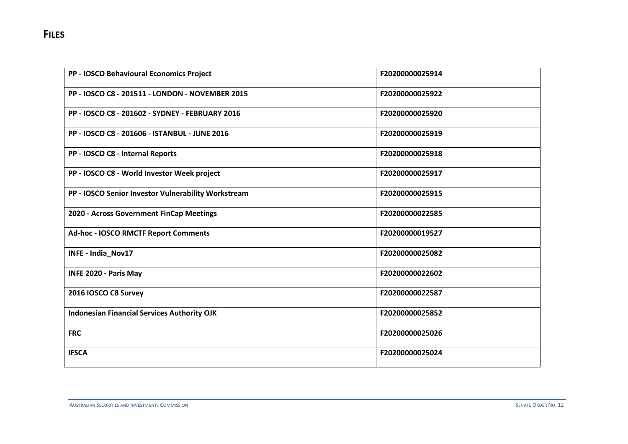| PP - IOSCO Behavioural Economics Project            | F20200000025914 |
|-----------------------------------------------------|-----------------|
| PP - IOSCO C8 - 201511 - LONDON - NOVEMBER 2015     | F20200000025922 |
| PP - IOSCO C8 - 201602 - SYDNEY - FEBRUARY 2016     | F20200000025920 |
| PP - IOSCO C8 - 201606 - ISTANBUL - JUNE 2016       | F20200000025919 |
| PP - IOSCO C8 - Internal Reports                    | F20200000025918 |
| PP - IOSCO C8 - World Investor Week project         | F20200000025917 |
| PP - IOSCO Senior Investor Vulnerability Workstream | F20200000025915 |
| 2020 - Across Government FinCap Meetings            | F20200000022585 |
| Ad-hoc - IOSCO RMCTF Report Comments                | F20200000019527 |
| INFE - India_Nov17                                  | F20200000025082 |
| <b>INFE 2020 - Paris May</b>                        | F20200000022602 |
| 2016 IOSCO C8 Survey                                | F20200000022587 |
| <b>Indonesian Financial Services Authority OJK</b>  | F20200000025852 |
| <b>FRC</b>                                          | F20200000025026 |
| <b>IFSCA</b>                                        | F20200000025024 |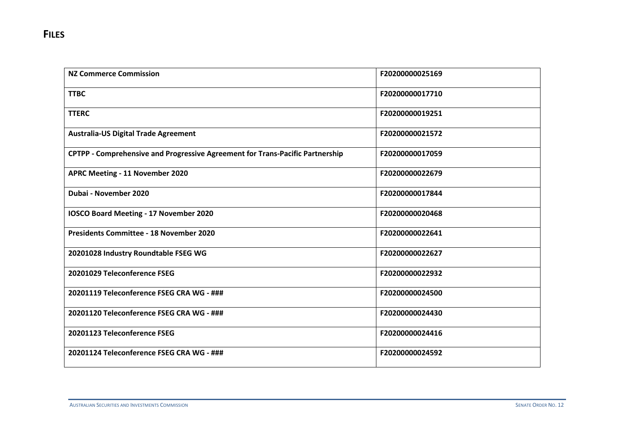| <b>NZ Commerce Commission</b>                                                 | F20200000025169 |
|-------------------------------------------------------------------------------|-----------------|
| <b>TTBC</b>                                                                   | F20200000017710 |
| <b>TTERC</b>                                                                  | F20200000019251 |
| <b>Australia-US Digital Trade Agreement</b>                                   | F20200000021572 |
| CPTPP - Comprehensive and Progressive Agreement for Trans-Pacific Partnership | F20200000017059 |
| APRC Meeting - 11 November 2020                                               | F20200000022679 |
| Dubai - November 2020                                                         | F20200000017844 |
| IOSCO Board Meeting - 17 November 2020                                        | F20200000020468 |
| <b>Presidents Committee - 18 November 2020</b>                                | F20200000022641 |
| 20201028 Industry Roundtable FSEG WG                                          | F20200000022627 |
| 20201029 Teleconference FSEG                                                  | F20200000022932 |
| 20201119 Teleconference FSEG CRA WG - ###                                     | F20200000024500 |
| 20201120 Teleconference FSEG CRA WG - ###                                     | F20200000024430 |
| 20201123 Teleconference FSEG                                                  | F20200000024416 |
| 20201124 Teleconference FSEG CRA WG - ###                                     | F20200000024592 |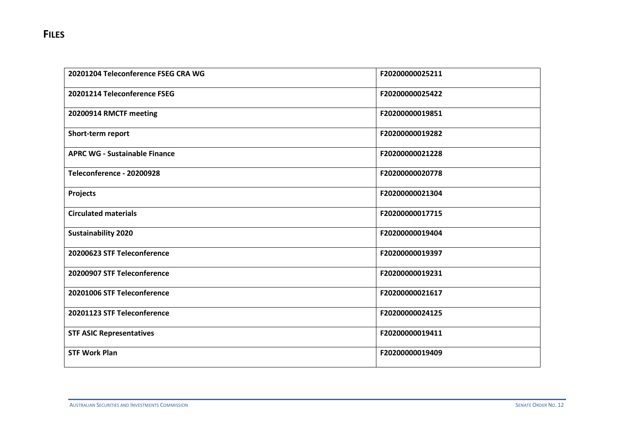| 20201204 Teleconference FSEG CRA WG  | F20200000025211 |
|--------------------------------------|-----------------|
| 20201214 Teleconference FSEG         | F20200000025422 |
| 20200914 RMCTF meeting               | F20200000019851 |
| Short-term report                    | F20200000019282 |
| <b>APRC WG - Sustainable Finance</b> | F20200000021228 |
| Teleconference - 20200928            | F20200000020778 |
| Projects                             | F20200000021304 |
| <b>Circulated materials</b>          | F20200000017715 |
| <b>Sustainability 2020</b>           | F20200000019404 |
| 20200623 STF Teleconference          | F20200000019397 |
| 20200907 STF Teleconference          | F20200000019231 |
| 20201006 STF Teleconference          | F20200000021617 |
| 20201123 STF Teleconference          | F20200000024125 |
| <b>STF ASIC Representatives</b>      | F20200000019411 |
| <b>STF Work Plan</b>                 | F20200000019409 |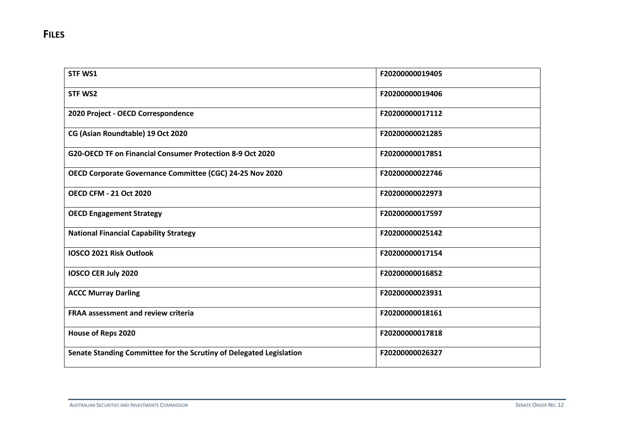| <b>STF WS1</b>                                                      | F20200000019405 |
|---------------------------------------------------------------------|-----------------|
| <b>STF WS2</b>                                                      | F20200000019406 |
| 2020 Project - OECD Correspondence                                  | F20200000017112 |
| CG (Asian Roundtable) 19 Oct 2020                                   | F20200000021285 |
| G20-OECD TF on Financial Consumer Protection 8-9 Oct 2020           | F20200000017851 |
| OECD Corporate Governance Committee (CGC) 24-25 Nov 2020            | F20200000022746 |
| <b>OECD CFM - 21 Oct 2020</b>                                       | F20200000022973 |
| <b>OECD Engagement Strategy</b>                                     | F20200000017597 |
| <b>National Financial Capability Strategy</b>                       | F20200000025142 |
| <b>IOSCO 2021 Risk Outlook</b>                                      | F20200000017154 |
| <b>IOSCO CER July 2020</b>                                          | F20200000016852 |
| <b>ACCC Murray Darling</b>                                          | F20200000023931 |
| <b>FRAA assessment and review criteria</b>                          | F20200000018161 |
| House of Reps 2020                                                  | F20200000017818 |
| Senate Standing Committee for the Scrutiny of Delegated Legislation | F20200000026327 |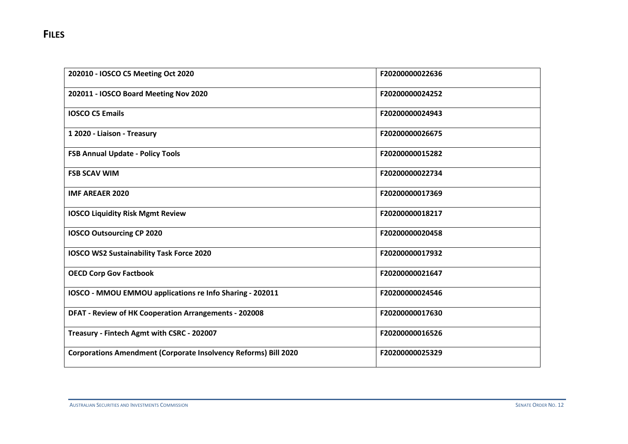| 202010 - IOSCO C5 Meeting Oct 2020                                     | F20200000022636 |
|------------------------------------------------------------------------|-----------------|
| 202011 - IOSCO Board Meeting Nov 2020                                  | F20200000024252 |
| <b>IOSCO C5 Emails</b>                                                 | F20200000024943 |
| 1 2020 - Liaison - Treasury                                            | F20200000026675 |
| <b>FSB Annual Update - Policy Tools</b>                                | F20200000015282 |
| <b>FSB SCAV WIM</b>                                                    | F20200000022734 |
| <b>IMF AREAER 2020</b>                                                 | F20200000017369 |
| <b>IOSCO Liquidity Risk Mgmt Review</b>                                | F20200000018217 |
| <b>IOSCO Outsourcing CP 2020</b>                                       | F20200000020458 |
| <b>IOSCO WS2 Sustainability Task Force 2020</b>                        | F20200000017932 |
| <b>OECD Corp Gov Factbook</b>                                          | F20200000021647 |
| IOSCO - MMOU EMMOU applications re Info Sharing - 202011               | F20200000024546 |
| DFAT - Review of HK Cooperation Arrangements - 202008                  | F20200000017630 |
| Treasury - Fintech Agmt with CSRC - 202007                             | F20200000016526 |
| <b>Corporations Amendment (Corporate Insolvency Reforms) Bill 2020</b> | F20200000025329 |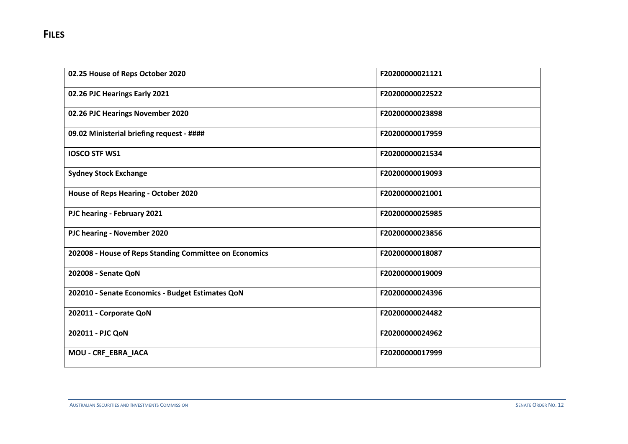| 02.25 House of Reps October 2020                       | F20200000021121 |
|--------------------------------------------------------|-----------------|
| 02.26 PJC Hearings Early 2021                          | F20200000022522 |
| 02.26 PJC Hearings November 2020                       | F20200000023898 |
| 09.02 Ministerial briefing request - ####              | F20200000017959 |
| <b>IOSCO STF WS1</b>                                   | F20200000021534 |
| <b>Sydney Stock Exchange</b>                           | F20200000019093 |
| <b>House of Reps Hearing - October 2020</b>            | F20200000021001 |
| PJC hearing - February 2021                            | F20200000025985 |
| PJC hearing - November 2020                            | F20200000023856 |
| 202008 - House of Reps Standing Committee on Economics | F20200000018087 |
| 202008 - Senate QoN                                    | F20200000019009 |
| 202010 - Senate Economics - Budget Estimates QoN       | F20200000024396 |
| 202011 - Corporate QoN                                 | F20200000024482 |
| 202011 - PJC QoN                                       | F20200000024962 |
| MOU - CRF_EBRA_IACA                                    | F20200000017999 |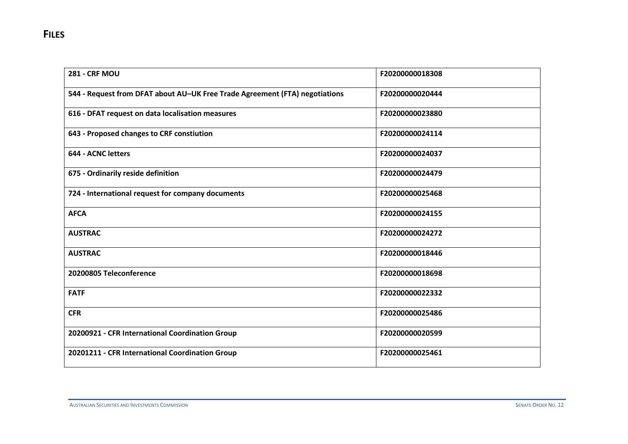| <b>281 - CRF MOU</b>                                                        | F20200000018308 |
|-----------------------------------------------------------------------------|-----------------|
| 544 - Request from DFAT about AU-UK Free Trade Agreement (FTA) negotiations | F20200000020444 |
| 616 - DFAT request on data localisation measures                            | F20200000023880 |
| 643 - Proposed changes to CRF constiution                                   | F20200000024114 |
| 644 - ACNC letters                                                          | F20200000024037 |
| 675 - Ordinarily reside definition                                          | F20200000024479 |
| 724 - International request for company documents                           | F20200000025468 |
| <b>AFCA</b>                                                                 | F20200000024155 |
| <b>AUSTRAC</b>                                                              | F20200000024272 |
| <b>AUSTRAC</b>                                                              | F20200000018446 |
| 20200805 Teleconference                                                     | F20200000018698 |
| <b>FATF</b>                                                                 | F20200000022332 |
| <b>CFR</b>                                                                  | F20200000025486 |
| 20200921 - CFR International Coordination Group                             | F20200000020599 |
| 20201211 - CFR International Coordination Group                             | F20200000025461 |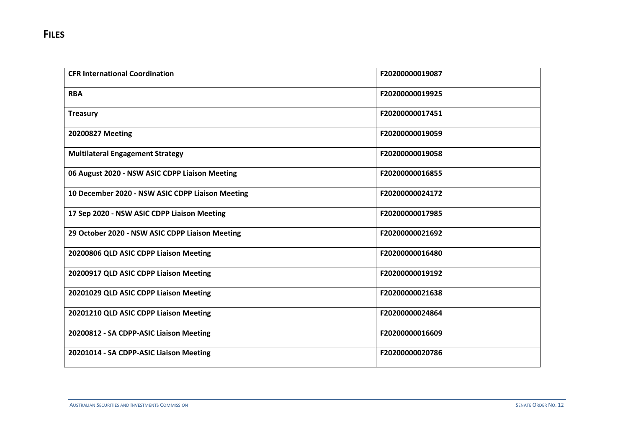| <b>CFR International Coordination</b>            | F20200000019087 |
|--------------------------------------------------|-----------------|
| <b>RBA</b>                                       | F20200000019925 |
| <b>Treasury</b>                                  | F20200000017451 |
| 20200827 Meeting                                 | F20200000019059 |
| <b>Multilateral Engagement Strategy</b>          | F20200000019058 |
| 06 August 2020 - NSW ASIC CDPP Liaison Meeting   | F20200000016855 |
| 10 December 2020 - NSW ASIC CDPP Liaison Meeting | F20200000024172 |
| 17 Sep 2020 - NSW ASIC CDPP Liaison Meeting      | F20200000017985 |
| 29 October 2020 - NSW ASIC CDPP Liaison Meeting  | F20200000021692 |
| 20200806 QLD ASIC CDPP Liaison Meeting           | F20200000016480 |
| 20200917 QLD ASIC CDPP Liaison Meeting           | F20200000019192 |
| 20201029 QLD ASIC CDPP Liaison Meeting           | F20200000021638 |
| 20201210 QLD ASIC CDPP Liaison Meeting           | F20200000024864 |
| 20200812 - SA CDPP-ASIC Liaison Meeting          | F20200000016609 |
| 20201014 - SA CDPP-ASIC Liaison Meeting          | F20200000020786 |